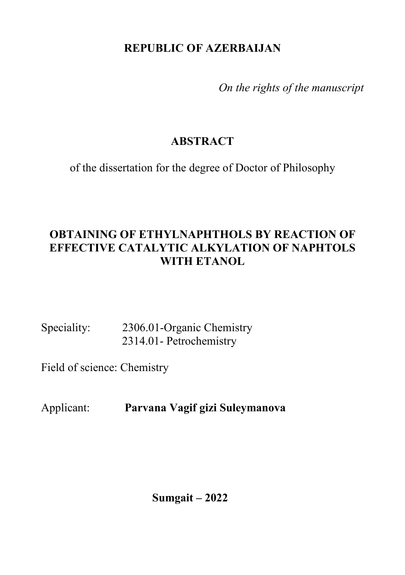# **REPUBLIC OF AZERBAIJAN**

*On the rights of the manuscript*

# **ABSTRACT**

of the dissertation for the degree of Doctor of Philosophy

# **OBTAINING OF ETHYLNAPHTHOLS BY REACTION OF EFFECTIVE CATALYTIC ALKYLATION OF NAPHTOLS WITH ETANOL**

Speciality: 2306.01-Organic Chemistry 2314.01- Petrochemistry

Field of science: Chemistry

Applicant: **Parvana Vagif gizi Suleymanova**

**Sumgait – 2022**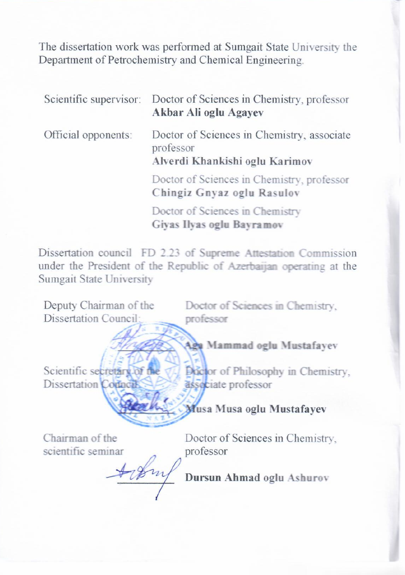The dissertation work was performed at Sumgait State University the Department of Petrochemistry and Chemical Engineering.

|                     | Scientific supervisor: Doctor of Sciences in Chemistry, professor<br>Akbar Ali oglu Agayev |  |  |  |  |
|---------------------|--------------------------------------------------------------------------------------------|--|--|--|--|
| Official opponents: | Doctor of Sciences in Chemistry, associate<br>professor<br>Alverdi Khankishi oglu Karimov  |  |  |  |  |
|                     | Doctor of Sciences in Chemistry, professor<br>Chingiz Gnyaz oglu Rasulov                   |  |  |  |  |
|                     | Doctor of Sciences in Chemistry<br>Giyas Ilyas oglu Bayramov                               |  |  |  |  |

Dissertation council FD 2.23 of Supreme Attestation Commission under the President of the Republic of Azerbaijan operating at the Sumgait State University

Deputy Chairman of the Dissertation Council: **\_\_\_\_\_\_\_\_\_\_** Doctor of Sciences in Chemistry, professor **Aga Mahammad oglu Mustafayev**  $S_{\text{invariant}}$ Dissertation Council: **LE NATION**  $\sum_{k=1}^{\infty}$ associate professor **Musa Musa oglu Mustafayev** 

Chairman of thescientific seminar

**\_\_\_\_\_\_\_\_\_\_** 

Doctor of Sciences in Chemistry, professor

**Dursun Ahmad oglu Ashurov**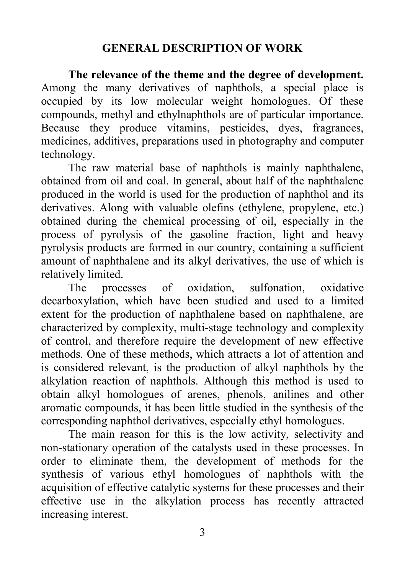#### **GENERAL DESCRIPTION OF WORK**

**The relevance of the theme and the degree of development.** Among the many derivatives of naphthols, a special place is occupied by its low molecular weight homologues. Of these compounds, methyl and ethylnaphthols are of particular importance. Because they produce vitamins, pesticides, dyes, fragrances, medicines, additives, preparations used in photography and computer technology.

The raw material base of naphthols is mainly naphthalene, obtained from oil and coal. In general, about half of the naphthalene produced in the world is used for the production of naphthol and its derivatives. Along with valuable olefins (ethylene, propylene, etc.) obtained during the chemical processing of oil, especially in the process of pyrolysis of the gasoline fraction, light and heavy pyrolysis products are formed in our country, containing a sufficient amount of naphthalene and its alkyl derivatives, the use of which is relatively limited.

The processes of oxidation, sulfonation, oxidative decarboxylation, which have been studied and used to a limited extent for the production of naphthalene based on naphthalene, are characterized by complexity, multi-stage technology and complexity of control, and therefore require the development of new effective methods. One of these methods, which attracts a lot of attention and is considered relevant, is the production of alkyl naphthols by the alkylation reaction of naphthols. Although this method is used to obtain alkyl homologues of arenes, phenols, anilines and other aromatic compounds, it has been little studied in the synthesis of the corresponding naphthol derivatives, especially ethyl homologues.

The main reason for this is the low activity, selectivity and non-stationary operation of the catalysts used in these processes. In order to eliminate them, the development of methods for the synthesis of various ethyl homologues of naphthols with the acquisition of effective catalytic systems for these processes and their effective use in the alkylation process has recently attracted increasing interest.

3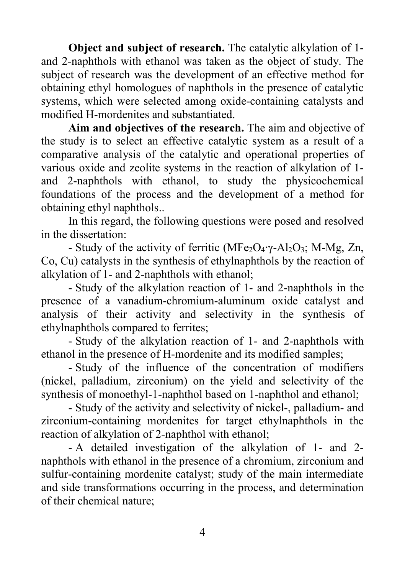**Object and subject of research.** The catalytic alkylation of 1 and 2-naphthols with ethanol was taken as the object of study. The subject of research was the development of an effective method for obtaining ethyl homologues of naphthols in the presence of catalytic systems, which were selected among oxide-containing catalysts and modified H-mordenites and substantiated.

**Aim and objectives of the research.** The aim and objective of the study is to select an effective catalytic system as a result of a comparative analysis of the catalytic and operational properties of various oxide and zeolite systems in the reaction of alkylation of 1 and 2-naphthols with ethanol, to study the physicochemical foundations of the process and the development of a method for obtaining ethyl naphthols..

In this regard, the following questions were posed and resolved in the dissertation:

- Study of the activity of ferritic (MFe<sub>2</sub>O<sub>4</sub>⋅γ-Al<sub>2</sub>O<sub>3</sub>; M-Mg, Zn, Co, Cu) catalysts in the synthesis of ethylnaphthols by the reaction of alkylation of 1- and 2-naphthols with ethanol;

- Study of the alkylation reaction of 1- and 2-naphthols in the presence of a vanadium-chromium-aluminum oxide catalyst and analysis of their activity and selectivity in the synthesis of ethylnaphthols compared to ferrites;

- Study of the alkylation reaction of 1- and 2-naphthols with ethanol in the presence of H-mordenite and its modified samples;

- Study of the influence of the concentration of modifiers (nickel, palladium, zirconium) on the yield and selectivity of the synthesis of monoethyl-1-naphthol based on 1-naphthol and ethanol;

- Study of the activity and selectivity of nickel-, palladium- and zirconium-containing mordenites for target ethylnaphthols in the reaction of alkylation of 2-naphthol with ethanol;

- A detailed investigation of the alkylation of 1- and 2 naphthols with ethanol in the presence of a chromium, zirconium and sulfur-containing mordenite catalyst; study of the main intermediate and side transformations occurring in the process, and determination of their chemical nature;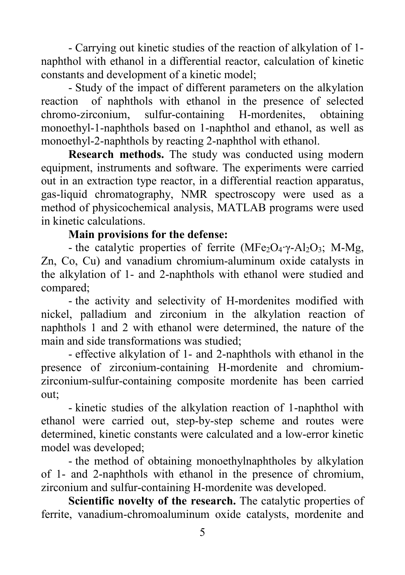- Carrying out kinetic studies of the reaction of alkylation of 1 naphthol with ethanol in a differential reactor, calculation of kinetic constants and development of a kinetic model;

- Study of the impact of different parameters on the alkylation reaction of naphthols with ethanol in the presence of selected chromo-zirconium, sulfur-containing H-mordenites, obtaining monoethyl-1-naphthols based on 1-naphthol and ethanol, as well as monoethyl-2-naphthols by reacting 2-naphthol with ethanol.

**Research methods.** The study was conducted using modern equipment, instruments and software. The experiments were carried out in an extraction type reactor, in a differential reaction apparatus, gas-liquid chromatography, NMR spectroscopy were used as a method of physicochemical analysis, MATLAB programs were used in kinetic calculations.

## **Main provisions for the defense:**

- the catalytic properties of ferrite (MFe<sub>2</sub>O<sub>4</sub>⋅γ-Al<sub>2</sub>O<sub>3</sub>; M-Mg, Zn, Co, Cu) and vanadium chromium-aluminum oxide catalysts in the alkylation of 1- and 2-naphthols with ethanol were studied and compared;

- the activity and selectivity of H-mordenites modified with nickel, palladium and zirconium in the alkylation reaction of naphthols 1 and 2 with ethanol were determined, the nature of the main and side transformations was studied;

- effective alkylation of 1- and 2-naphthols with ethanol in the presence of zirconium-containing H-mordenite and chromiumzirconium-sulfur-containing composite mordenite has been carried out;

- kinetic studies of the alkylation reaction of 1-naphthol with ethanol were carried out, step-by-step scheme and routes were determined, kinetic constants were calculated and a low-error kinetic model was developed;

- the method of obtaining monoethylnaphtholes by alkylation of 1- and 2-naphthols with ethanol in the presence of chromium, zirconium and sulfur-containing H-mordenite was developed.

**Scientific novelty of the research.** The catalytic properties of ferrite, vanadium-chromoaluminum oxide catalysts, mordenite and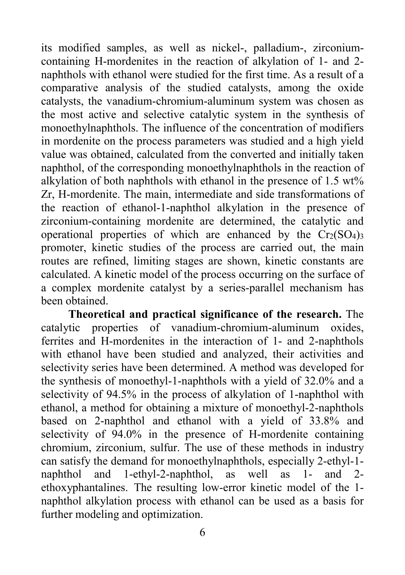its modified samples, as well as nickel-, palladium-, zirconiumcontaining H-mordenites in the reaction of alkylation of 1- and 2 naphthols with ethanol were studied for the first time. As a result of a comparative analysis of the studied catalysts, among the oxide catalysts, the vanadium-chromium-aluminum system was chosen as the most active and selective catalytic system in the synthesis of monoethylnaphthols. The influence of the concentration of modifiers in mordenite on the process parameters was studied and a high yield value was obtained, calculated from the converted and initially taken naphthol, of the corresponding monoethylnaphthols in the reaction of alkylation of both naphthols with ethanol in the presence of 1.5 wt% Zr, H-mordenite. The main, intermediate and side transformations of the reaction of ethanol-1-naphthol alkylation in the presence of zirconium-containing mordenite are determined, the catalytic and operational properties of which are enhanced by the  $Cr_2(SO_4)$ <sub>3</sub> promoter, kinetic studies of the process are carried out, the main routes are refined, limiting stages are shown, kinetic constants are calculated. A kinetic model of the process occurring on the surface of a complex mordenite catalyst by a series-parallel mechanism has been obtained.

**Theoretical and practical significance of the research.** The catalytic properties of vanadium-chromium-aluminum oxides, ferrites and H-mordenites in the interaction of 1- and 2-naphthols with ethanol have been studied and analyzed, their activities and selectivity series have been determined. A method was developed for the synthesis of monoethyl-1-naphthols with a yield of 32.0% and a selectivity of 94.5% in the process of alkylation of 1-naphthol with ethanol, a method for obtaining a mixture of monoethyl-2-naphthols based on 2-naphthol and ethanol with a yield of 33.8% and selectivity of 94.0% in the presence of H-mordenite containing chromium, zirconium, sulfur. The use of these methods in industry can satisfy the demand for monoethylnaphthols, especially 2-ethyl-1 naphthol and 1-ethyl-2-naphthol, as well as 1- and 2 ethoxyphantalines. The resulting low-error kinetic model of the 1 naphthol alkylation process with ethanol can be used as a basis for further modeling and optimization.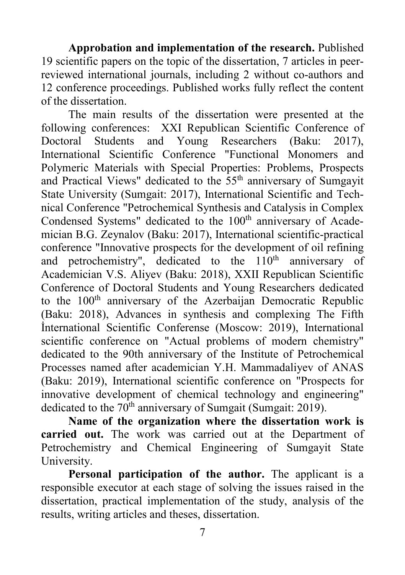**Approbation and implementation of the research.** Published 19 scientific papers on the topic of the dissertation, 7 articles in peerreviewed international journals, including 2 without co-authors and 12 conference proceedings. Published works fully reflect the content of the dissertation.

The main results of the dissertation were presented at the following conferences: XXI Republican Scientific Conference of Doctoral Students and Young Researchers (Baku: 2017), International Scientific Conference "Functional Monomers and Polymeric Materials with Special Properties: Problems, Prospects and Practical Views" dedicated to the 55<sup>th</sup> anniversary of Sumgayit State University (Sumgait: 2017), International Scientific and Technical Conference "Petrochemical Synthesis and Catalysis in Complex Condensed Systems" dedicated to the 100<sup>th</sup> anniversary of Academician B.G. Zeynalov (Baku: 2017), International scientific-practical conference "Innovative prospects for the development of oil refining and petrochemistry", dedicated to the  $110<sup>th</sup>$  anniversary of Academician V.S. Aliyev (Baku: 2018), XXII Republican Scientific Conference of Doctoral Students and Young Researchers dedicated to the 100<sup>th</sup> anniversary of the Azerbaijan Democratic Republic (Baku: 2018), Advances in synthesis and complexing The Fifth İnternational Scientific Conferense (Moscow: 2019), International scientific conference on "Actual problems of modern chemistry" dedicated to the 90th anniversary of the Institute of Petrochemical Processes named after academician Y.H. Mammadaliyev of ANAS (Baku: 2019), International scientific conference on "Prospects for innovative development of chemical technology and engineering" dedicated to the  $70<sup>th</sup>$  anniversary of Sumgait (Sumgait: 2019).

**Name of the organization where the dissertation work is carried out.** The work was carried out at the Department of Petrochemistry and Chemical Engineering of Sumgayit State University.

**Personal participation of the author.** The applicant is a responsible executor at each stage of solving the issues raised in the dissertation, practical implementation of the study, analysis of the results, writing articles and theses, dissertation.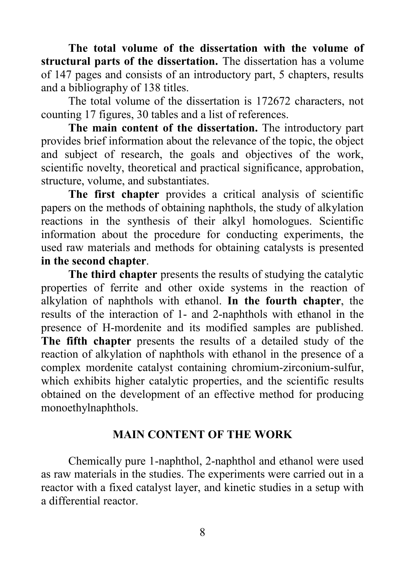**The total volume of the dissertation with the volume of structural parts of the dissertation.** The dissertation has a volume of 147 pages and consists of an introductory part, 5 chapters, results and a bibliography of 138 titles.

The total volume of the dissertation is 172672 characters, not counting 17 figures, 30 tables and a list of references.

**The main content of the dissertation.** The introductory part provides brief information about the relevance of the topic, the object and subject of research, the goals and objectives of the work, scientific novelty, theoretical and practical significance, approbation, structure, volume, and substantiates.

**The first chapter** provides a critical analysis of scientific papers on the methods of obtaining naphthols, the study of alkylation reactions in the synthesis of their alkyl homologues. Scientific information about the procedure for conducting experiments, the used raw materials and methods for obtaining catalysts is presented **in the second chapter**.

**The third chapter** presents the results of studying the catalytic properties of ferrite and other oxide systems in the reaction of alkylation of naphthols with ethanol. **In the fourth chapter**, the results of the interaction of 1- and 2-naphthols with ethanol in the presence of H-mordenite and its modified samples are published. **The fifth chapter** presents the results of a detailed study of the reaction of alkylation of naphthols with ethanol in the presence of a complex mordenite catalyst containing chromium-zirconium-sulfur, which exhibits higher catalytic properties, and the scientific results obtained on the development of an effective method for producing monoethylnaphthols.

#### **MAIN CONTENT OF THE WORK**

Chemically pure 1-naphthol, 2-naphthol and ethanol were used as raw materials in the studies. The experiments were carried out in a reactor with a fixed catalyst layer, and kinetic studies in a setup with a differential reactor.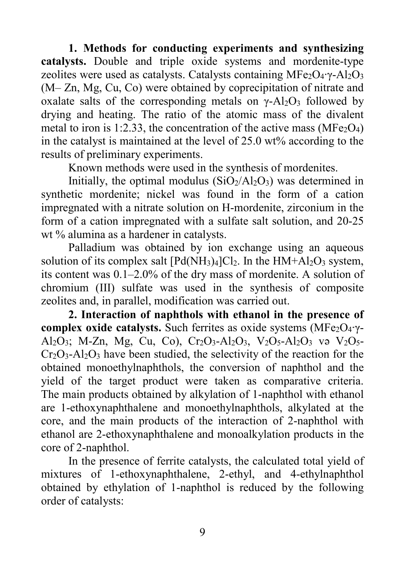**1. Methods for conducting experiments and synthesizing catalysts.** Double and triple oxide systems and mordenite-type zeolites were used as catalysts. Catalysts containing MFe<sub>2</sub>O<sub>4</sub>⋅γ-Al<sub>2</sub>O<sub>3</sub> (M– Zn, Mg, Cu, Co) were obtained by coprecipitation of nitrate and oxalate salts of the corresponding metals on  $\gamma$ -Al<sub>2</sub>O<sub>3</sub> followed by drying and heating. The ratio of the atomic mass of the divalent metal to iron is 1:2.33, the concentration of the active mass ( $MF\epsilon_2O_4$ ) in the catalyst is maintained at the level of 25.0 wt% according to the results of preliminary experiments.

Known methods were used in the synthesis of mordenites.

Initially, the optimal modulus  $(SiO<sub>2</sub>/Al<sub>2</sub>O<sub>3</sub>)$  was determined in synthetic mordenite; nickel was found in the form of a cation impregnated with a nitrate solution on H-mordenite, zirconium in the form of a cation impregnated with a sulfate salt solution, and 20-25 wt % alumina as a hardener in catalysts.

Palladium was obtained by ion exchange using an aqueous solution of its complex salt  $[Pd(NH_3)_4]Cl_2$ . In the  $HM+A1_2O_3$  system, its content was 0.1–2.0% of the dry mass of mordenite. A solution of chromium (III) sulfate was used in the synthesis of composite zeolites and, in parallel, modification was carried out.

**2. Interaction of naphthols with ethanol in the presence of complex oxide catalysts.** Such ferrites as oxide systems (MFe<sub>2</sub>O<sub>4</sub>·γ-Al<sub>2</sub>O<sub>3</sub>; M-Zn, Mg, Cu, Co), Cr<sub>2</sub>O<sub>3</sub>-Al<sub>2</sub>O<sub>3</sub>, V<sub>2</sub>O<sub>5</sub>-Al<sub>2</sub>O<sub>3</sub> və V<sub>2</sub>O<sub>5</sub>-Cr2O3-Al2O3 have been studied, the selectivity of the reaction for the obtained monoethylnaphthols, the conversion of naphthol and the yield of the target product were taken as comparative criteria. The main products obtained by alkylation of 1-naphthol with ethanol are 1-ethoxynaphthalene and monoethylnaphthols, alkylated at the core, and the main products of the interaction of 2-naphthol with ethanol are 2-ethoxynaphthalene and monoalkylation products in the core of 2-naphthol.

In the presence of ferrite catalysts, the calculated total yield of mixtures of 1-ethoxynaphthalene, 2-ethyl, and 4-ethylnaphthol obtained by ethylation of 1-naphthol is reduced by the following order of catalysts: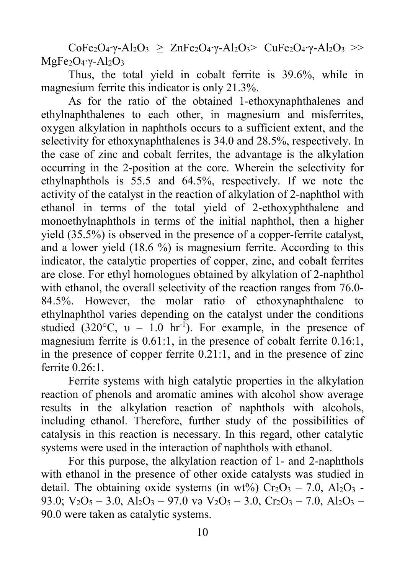$CoFe<sub>2</sub>O<sub>4</sub>·γ-Al<sub>2</sub>O<sub>3</sub> ≥ ZnFe<sub>2</sub>O<sub>4</sub>·γ-Al<sub>2</sub>O<sub>3</sub> > CuFe<sub>2</sub>O<sub>4</sub>·γ-Al<sub>2</sub>O<sub>3</sub> >$ MgFe<sub>2</sub>O<sub>4</sub>⋅γ-Al<sub>2</sub>O<sub>3</sub>

Thus, the total yield in cobalt ferrite is 39.6%, while in magnesium ferrite this indicator is only 21.3%.

As for the ratio of the obtained 1-ethoxynaphthalenes and ethylnaphthalenes to each other, in magnesium and misferrites, oxygen alkylation in naphthols occurs to a sufficient extent, and the selectivity for ethoxynaphthalenes is 34.0 and 28.5%, respectively. In the case of zinc and cobalt ferrites, the advantage is the alkylation occurring in the 2-position at the core. Wherein the selectivity for ethylnaphthols is 55.5 and 64.5%, respectively. If we note the activity of the catalyst in the reaction of alkylation of 2-naphthol with ethanol in terms of the total yield of 2-ethoxyphthalene and monoethylnaphthols in terms of the initial naphthol, then a higher yield (35.5%) is observed in the presence of a copper-ferrite catalyst, and a lower yield (18.6 %) is magnesium ferrite. According to this indicator, the catalytic properties of copper, zinc, and cobalt ferrites are close. For ethyl homologues obtained by alkylation of 2-naphthol with ethanol, the overall selectivity of the reaction ranges from 76.0- 84.5%. However, the molar ratio of ethoxynaphthalene to ethylnaphthol varies depending on the catalyst under the conditions studied (320 $^{\circ}$ C,  $\upsilon$  – 1.0 hr<sup>-1</sup>). For example, in the presence of magnesium ferrite is 0.61:1, in the presence of cobalt ferrite 0.16:1, in the presence of copper ferrite 0.21:1, and in the presence of zinc ferrite 0.26:1.

Ferrite systems with high catalytic properties in the alkylation reaction of phenols and aromatic amines with alcohol show average results in the alkylation reaction of naphthols with alcohols, including ethanol. Therefore, further study of the possibilities of catalysis in this reaction is necessary. In this regard, other catalytic systems were used in the interaction of naphthols with ethanol.

For this purpose, the alkylation reaction of 1- and 2-naphthols with ethanol in the presence of other oxide catalysts was studied in detail. The obtaining oxide systems (in wt%)  $Cr_2O_3 - 7.0$ ,  $Al_2O_3 -$ 93.0;  $V_2O_5 - 3.0$ ,  $Al_2O_3 - 97.0$  və  $V_2O_5 - 3.0$ ,  $Cr_2O_3 - 7.0$ ,  $Al_2O_3 -$ 90.0 were taken as catalytic systems.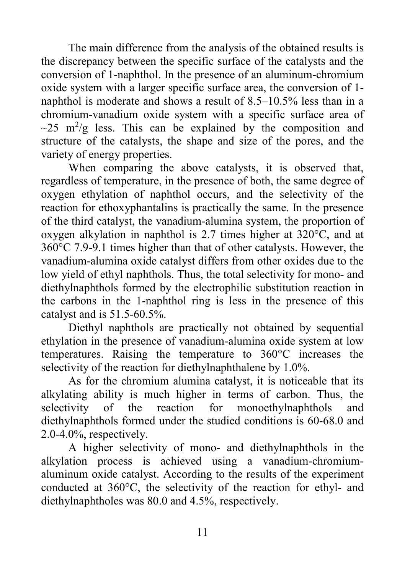The main difference from the analysis of the obtained results is the discrepancy between the specific surface of the catalysts and the conversion of 1-naphthol. In the presence of an aluminum-chromium oxide system with a larger specific surface area, the conversion of 1 naphthol is moderate and shows a result of 8.5–10.5% less than in a chromium-vanadium oxide system with a specific surface area of  $\sim$ 25 m<sup>2</sup>/g less. This can be explained by the composition and structure of the catalysts, the shape and size of the pores, and the variety of energy properties.

When comparing the above catalysts, it is observed that, regardless of temperature, in the presence of both, the same degree of oxygen ethylation of naphthol occurs, and the selectivity of the reaction for ethoxyphantalins is practically the same. In the presence of the third catalyst, the vanadium-alumina system, the proportion of oxygen alkylation in naphthol is 2.7 times higher at 320°C, and at 360°C 7.9-9.1 times higher than that of other catalysts. However, the vanadium-alumina oxide catalyst differs from other oxides due to the low yield of ethyl naphthols. Thus, the total selectivity for mono- and diethylnaphthols formed by the electrophilic substitution reaction in the carbons in the 1-naphthol ring is less in the presence of this catalyst and is 51.5-60.5%.

Diethyl naphthols are practically not obtained by sequential ethylation in the presence of vanadium-alumina oxide system at low temperatures. Raising the temperature to 360°C increases the selectivity of the reaction for diethylnaphthalene by 1.0%.

As for the chromium alumina catalyst, it is noticeable that its alkylating ability is much higher in terms of carbon. Thus, the selectivity of the reaction for monoethylnaphthols and diethylnaphthols formed under the studied conditions is 60-68.0 and 2.0-4.0%, respectively.

A higher selectivity of mono- and diethylnaphthols in the alkylation process is achieved using a vanadium-chromiumaluminum oxide catalyst. According to the results of the experiment conducted at 360°C, the selectivity of the reaction for ethyl- and diethylnaphtholes was 80.0 and 4.5%, respectively.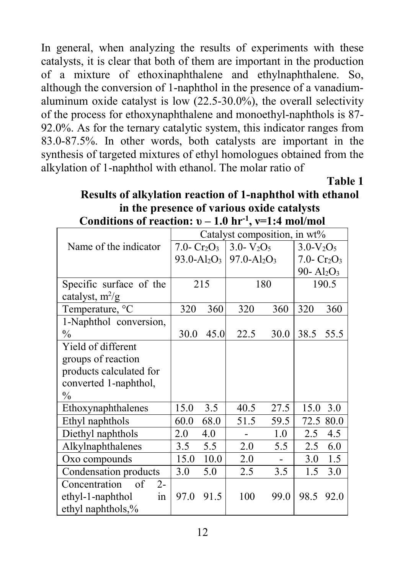In general, when analyzing the results of experiments with these catalysts, it is clear that both of them are important in the production of a mixture of ethoxinaphthalene and ethylnaphthalene. So, although the conversion of 1-naphthol in the presence of a vanadiumaluminum oxide catalyst is low (22.5-30.0%), the overall selectivity of the process for ethoxynaphthalene and monoethyl-naphthols is 87- 92.0%. As for the ternary catalytic system, this indicator ranges from 83.0-87.5%. In other words, both catalysts are important in the synthesis of targeted mixtures of ethyl homologues obtained from the alkylation of 1-naphthol with ethanol. The molar ratio of

**Table 1**

#### **Results of alkylation reaction of 1-naphthol with ethanol in the presence of various oxide catalysts Conditions of reaction:**  $v - 1.0$  hr<sup>-1</sup>,  $v=1:4$  mol/mol

|                             | Catalyst composition, in wt%                                            |      |                |             |                |      |
|-----------------------------|-------------------------------------------------------------------------|------|----------------|-------------|----------------|------|
| Name of the indicator       | 7.0- $Cr_2O_3$                                                          |      | $3.0 - V_2O_5$ |             | $3.0-V_2O_5$   |      |
|                             | 93.0-Al <sub>2</sub> O <sub>3</sub> 97.0-Al <sub>2</sub> O <sub>3</sub> |      |                |             | 7.0- $Cr_2O_3$ |      |
|                             |                                                                         |      |                |             | 90- $Al_2O_3$  |      |
| Specific surface of the     | 215                                                                     |      | 180            |             | 190.5          |      |
| catalyst, $m^2/g$           |                                                                         |      |                |             |                |      |
| Temperature, °C             | 320                                                                     | 360  | 320            | 360         | 320            | 360  |
| 1-Naphthol conversion,      |                                                                         |      |                |             |                |      |
| $\%$                        | 30.0                                                                    | 45.0 | 22.5           | <b>30.0</b> | 38.5           | 55.5 |
| Yield of different          |                                                                         |      |                |             |                |      |
| groups of reaction          |                                                                         |      |                |             |                |      |
| products calculated for     |                                                                         |      |                |             |                |      |
| converted 1-naphthol,       |                                                                         |      |                |             |                |      |
| $\frac{0}{0}$               |                                                                         |      |                |             |                |      |
| Ethoxynaphthalenes          | 15.0                                                                    | 3.5  | 40.5           | 27.5        | 15.0           | 3.0  |
| Ethyl naphthols             | 60.0                                                                    | 68.0 | 51.5           | 59.5        | 72.5           | 80.0 |
| Diethyl naphthols           | 2.0                                                                     | 4.0  |                | 1.0         | 2.5            | 4.5  |
| Alkylnaphthalenes           | 3.5                                                                     | 5.5  | 2.0            | 5.5         | 2.5            | 6.0  |
| Oxo compounds               | 15.0                                                                    | 10.0 | 2.0            |             | 3.0            | 1.5  |
| Condensation products       | 3.0                                                                     | 5.0  | 2.5            | 3.5         | 1.5            | 3.0  |
| Concentration<br>of<br>$2-$ |                                                                         |      |                |             |                |      |
| ethyl-1-naphthol<br>in      | 97.0                                                                    | 91.5 | 100            | 99.0        | 98.5           | 92.0 |
| ethyl naphthols,%           |                                                                         |      |                |             |                |      |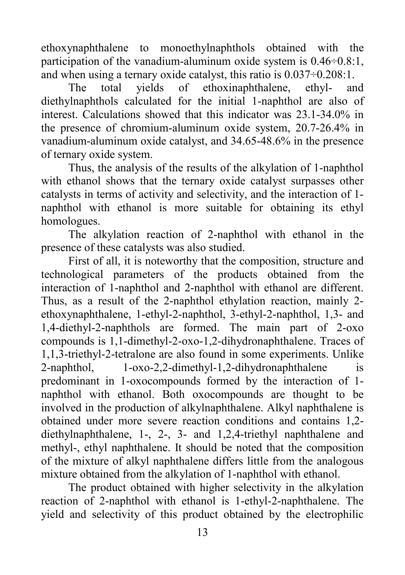ethoxynaphthalene to monoethylnaphthols obtained with the participation of the vanadium-aluminum oxide system is 0.46÷0.8:1, and when using a ternary oxide catalyst, this ratio is 0.037÷0.208:1.

The total yields of ethoxinaphthalene, ethyl- and diethylnaphthols calculated for the initial 1-naphthol are also of interest. Calculations showed that this indicator was 23.1-34.0% in the presence of chromium-aluminum oxide system, 20.7-26.4% in vanadium-aluminum oxide catalyst, and 34.65-48.6% in the presence of ternary oxide system.

Thus, the analysis of the results of the alkylation of 1-naphthol with ethanol shows that the ternary oxide catalyst surpasses other catalysts in terms of activity and selectivity, and the interaction of 1 naphthol with ethanol is more suitable for obtaining its ethyl homologues.

The alkylation reaction of 2-naphthol with ethanol in the presence of these catalysts was also studied.

First of all, it is noteworthy that the composition, structure and technological parameters of the products obtained from the interaction of 1-naphthol and 2-naphthol with ethanol are different. Thus, as a result of the 2-naphthol ethylation reaction, mainly 2 ethoxynaphthalene, 1-ethyl-2-naphthol, 3-ethyl-2-naphthol, 1,3- and 1,4-diethyl-2-naphthols are formed. The main part of 2-oxo compounds is 1,1-dimethyl-2-oxo-1,2-dihydronaphthalene. Traces of 1,1,3-triethyl-2-tetralone are also found in some experiments. Unlike 2-naphthol, 1-oxo-2,2-dimethyl-1,2-dihydronaphthalene is predominant in 1-oxocompounds formed by the interaction of 1 naphthol with ethanol. Both oxocompounds are thought to be involved in the production of alkylnaphthalene. Alkyl naphthalene is obtained under more severe reaction conditions and contains 1,2 diethylnaphthalene, 1-, 2-, 3- and 1,2,4-triethyl naphthalene and methyl-, ethyl naphthalene. It should be noted that the composition of the mixture of alkyl naphthalene differs little from the analogous mixture obtained from the alkylation of 1-naphthol with ethanol.

The product obtained with higher selectivity in the alkylation reaction of 2-naphthol with ethanol is 1-ethyl-2-naphthalene. The yield and selectivity of this product obtained by the electrophilic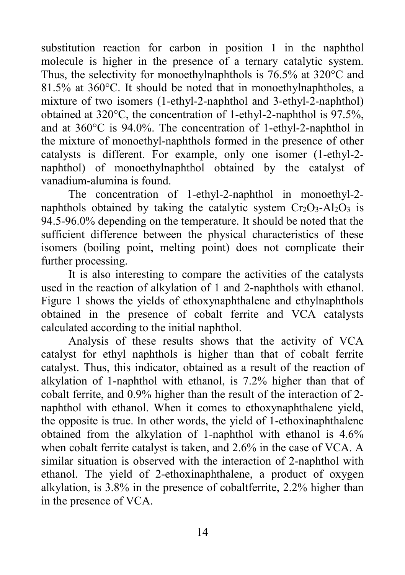substitution reaction for carbon in position 1 in the naphthol molecule is higher in the presence of a ternary catalytic system. Thus, the selectivity for monoethylnaphthols is 76.5% at 320°C and 81.5% at 360°C. It should be noted that in monoethylnaphtholes, a mixture of two isomers (1-ethyl-2-naphthol and 3-ethyl-2-naphthol) obtained at 320°C, the concentration of 1-ethyl-2-naphthol is 97.5%, and at 360°C is 94.0%. The concentration of 1-ethyl-2-naphthol in the mixture of monoethyl-naphthols formed in the presence of other catalysts is different. For example, only one isomer (1-ethyl-2 naphthol) of monoethylnaphthol obtained by the catalyst of vanadium-alumina is found.

The concentration of 1-ethyl-2-naphthol in monoethyl-2 naphthols obtained by taking the catalytic system  $Cr_2O_3-Al_2O_3$  is 94.5-96.0% depending on the temperature. It should be noted that the sufficient difference between the physical characteristics of these isomers (boiling point, melting point) does not complicate their further processing.

It is also interesting to compare the activities of the catalysts used in the reaction of alkylation of 1 and 2-naphthols with ethanol. Figure 1 shows the yields of ethoxynaphthalene and ethylnaphthols obtained in the presence of cobalt ferrite and VCA catalysts calculated according to the initial naphthol.

Analysis of these results shows that the activity of VCA catalyst for ethyl naphthols is higher than that of cobalt ferrite catalyst. Thus, this indicator, obtained as a result of the reaction of alkylation of 1-naphthol with ethanol, is 7.2% higher than that of cobalt ferrite, and 0.9% higher than the result of the interaction of 2 naphthol with ethanol. When it comes to ethoxynaphthalene yield, the opposite is true. In other words, the yield of 1-ethoxinaphthalene obtained from the alkylation of 1-naphthol with ethanol is 4.6% when cobalt ferrite catalyst is taken, and 2.6% in the case of VCA. A similar situation is observed with the interaction of 2-naphthol with ethanol. The yield of 2-ethoxinaphthalene, a product of oxygen alkylation, is 3.8% in the presence of cobaltferrite, 2.2% higher than in the presence of VCA.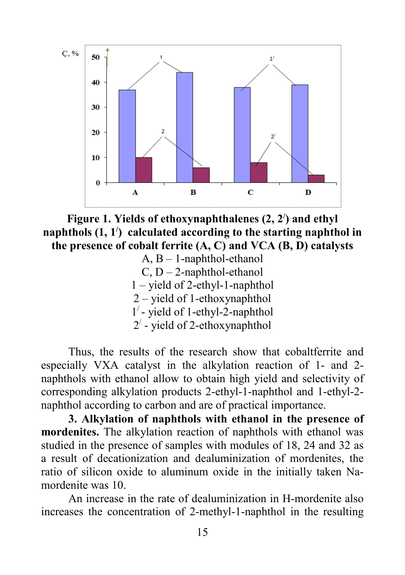

**Figure 1. Yields of ethoxynaphthalenes (2, 2/ ) and ethyl naphthols (1, 1/ ) calculated according to the starting naphthol in the presence of cobalt ferrite (A, C) and VCA (B, D) catalysts** 

A, B – 1-naphthol-ethanol  $C, D - 2$ -naphthol-ethanol 1 – yield of 2-ethyl-1-naphthol 2 – yield of 1-ethoxynaphthol 1/ - yield of 1-ethyl-2-naphthol  $2^7$  - yield of 2-ethoxynaphthol

Thus, the results of the research show that cobaltferrite and especially VXA catalyst in the alkylation reaction of 1- and 2 naphthols with ethanol allow to obtain high yield and selectivity of corresponding alkylation products 2-ethyl-1-naphthol and 1-ethyl-2 naphthol according to carbon and are of practical importance.

**3. Alkylation of naphthols with ethanol in the presence of mordenites.** The alkylation reaction of naphthols with ethanol was studied in the presence of samples with modules of 18, 24 and 32 as a result of decationization and dealuminization of mordenites, the ratio of silicon oxide to aluminum oxide in the initially taken Namordenite was 10.

An increase in the rate of dealuminization in H-mordenite also increases the concentration of 2-methyl-1-naphthol in the resulting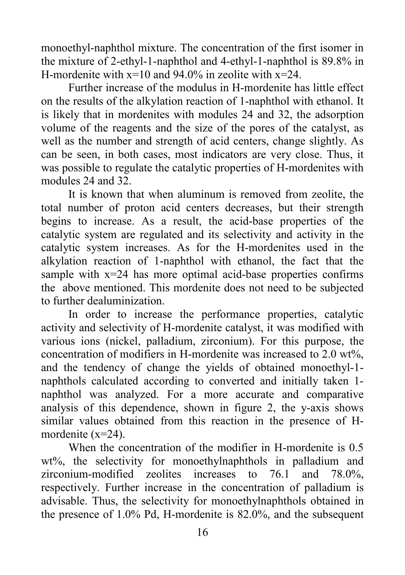monoethyl-naphthol mixture. The concentration of the first isomer in the mixture of 2-ethyl-1-naphthol and 4-ethyl-1-naphthol is 89.8% in H-mordenite with  $x=10$  and 94.0% in zeolite with  $x=24$ .

Further increase of the modulus in H-mordenite has little effect on the results of the alkylation reaction of 1-naphthol with ethanol. It is likely that in mordenites with modules 24 and 32, the adsorption volume of the reagents and the size of the pores of the catalyst, as well as the number and strength of acid centers, change slightly. As can be seen, in both cases, most indicators are very close. Thus, it was possible to regulate the catalytic properties of H-mordenites with modules 24 and 32.

It is known that when aluminum is removed from zeolite, the total number of proton acid centers decreases, but their strength begins to increase. As a result, the acid-base properties of the catalytic system are regulated and its selectivity and activity in the catalytic system increases. As for the H-mordenites used in the alkylation reaction of 1-naphthol with ethanol, the fact that the sample with  $x=24$  has more optimal acid-base properties confirms the above mentioned. This mordenite does not need to be subjected to further dealuminization.

In order to increase the performance properties, catalytic activity and selectivity of H-mordenite catalyst, it was modified with various ions (nickel, palladium, zirconium). For this purpose, the concentration of modifiers in H-mordenite was increased to 2.0 wt%, and the tendency of change the yields of obtained monoethyl-1 naphthols calculated according to converted and initially taken 1 naphthol was analyzed. For a more accurate and comparative analysis of this dependence, shown in figure 2, the y-axis shows similar values obtained from this reaction in the presence of Hmordenite (x=24).

When the concentration of the modifier in H-mordenite is 0.5 wt%, the selectivity for monoethylnaphthols in palladium and zirconium-modified zeolites increases to 76.1 and 78.0%, respectively. Further increase in the concentration of palladium is advisable. Thus, the selectivity for monoethylnaphthols obtained in the presence of  $1.0\%$  Pd, H-mordenite is  $82.0\%$ , and the subsequent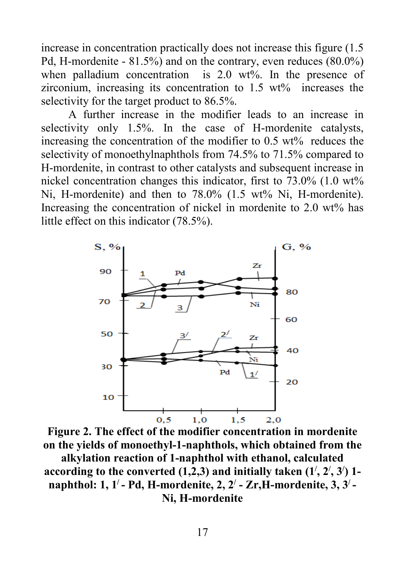increase in concentration practically does not increase this figure (1.5 Pd, H-mordenite - 81.5%) and on the contrary, even reduces (80.0%) when palladium concentration is 2.0 wt%. In the presence of zirconium, increasing its concentration to 1.5 wt% increases the selectivity for the target product to 86.5%.

A further increase in the modifier leads to an increase in selectivity only 1.5%. In the case of H-mordenite catalysts, increasing the concentration of the modifier to 0.5 wt% reduces the selectivity of monoethylnaphthols from 74.5% to 71.5% compared to H-mordenite, in contrast to other catalysts and subsequent increase in nickel concentration changes this indicator, first to 73.0% (1.0 wt% Ni, H-mordenite) and then to 78.0% (1.5 wt% Ni, H-mordenite). Increasing the concentration of nickel in mordenite to 2.0 wt% has little effect on this indicator (78.5%).



**Figure 2. The effect of the modifier concentration in mordenite on the yields of monoethyl-1-naphthols, which obtained from the alkylation reaction of 1-naphthol with ethanol, calculated according to the converted (1,2,3) and initially taken (1/ , 2/ , 3/ ) 1 naphthol: 1, 1/ - Pd, H-mordenite, 2, 2/ - Zr,H-mordenite, 3, 3/ - Ni, H-mordenite**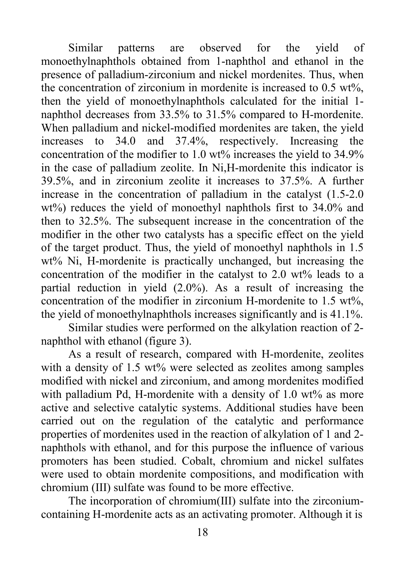Similar patterns are observed for the yield of monoethylnaphthols obtained from 1-naphthol and ethanol in the presence of palladium-zirconium and nickel mordenites. Thus, when the concentration of zirconium in mordenite is increased to 0.5 wt%, then the yield of monoethylnaphthols calculated for the initial 1 naphthol decreases from 33.5% to 31.5% compared to H-mordenite. When palladium and nickel-modified mordenites are taken, the yield increases to 34.0 and 37.4%, respectively. Increasing the concentration of the modifier to 1.0 wt% increases the yield to 34.9% in the case of palladium zeolite. In Ni,H-mordenite this indicator is 39.5%, and in zirconium zeolite it increases to 37.5%. A further increase in the concentration of palladium in the catalyst (1.5-2.0 wt%) reduces the yield of monoethyl naphthols first to 34.0% and then to 32.5%. The subsequent increase in the concentration of the modifier in the other two catalysts has a specific effect on the yield of the target product. Thus, the yield of monoethyl naphthols in 1.5 wt% Ni, H-mordenite is practically unchanged, but increasing the concentration of the modifier in the catalyst to 2.0 wt% leads to a partial reduction in yield (2.0%). As a result of increasing the concentration of the modifier in zirconium H-mordenite to  $1.5 \text{ wt}\%$ , the yield of monoethylnaphthols increases significantly and is 41.1%.

Similar studies were performed on the alkylation reaction of 2 naphthol with ethanol (figure 3).

As a result of research, compared with H-mordenite, zeolites with a density of 1.5 wt% were selected as zeolites among samples modified with nickel and zirconium, and among mordenites modified with palladium Pd, H-mordenite with a density of 1.0 wt% as more active and selective catalytic systems. Additional studies have been carried out on the regulation of the catalytic and performance properties of mordenites used in the reaction of alkylation of 1 and 2 naphthols with ethanol, and for this purpose the influence of various promoters has been studied. Cobalt, chromium and nickel sulfates were used to obtain mordenite compositions, and modification with chromium (III) sulfate was found to be more effective.

The incorporation of chromium(III) sulfate into the zirconiumcontaining H-mordenite acts as an activating promoter. Although it is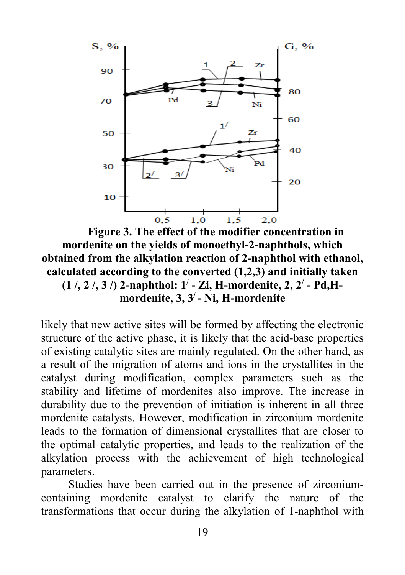

**Figure 3. The effect of the modifier concentration in mordenite on the yields of monoethyl-2-naphthols, which obtained from the alkylation reaction of 2-naphthol with ethanol, calculated according to the converted (1,2,3) and initially taken (1 /, 2 /, 3 /) 2-naphthol: 1/ - Zi, H-mordenite, 2, 2/ - Pd,Hmordenite, 3, 3/ - Ni, H-mordenite**

likely that new active sites will be formed by affecting the electronic structure of the active phase, it is likely that the acid-base properties of existing catalytic sites are mainly regulated. On the other hand, as a result of the migration of atoms and ions in the crystallites in the catalyst during modification, complex parameters such as the stability and lifetime of mordenites also improve. The increase in durability due to the prevention of initiation is inherent in all three mordenite catalysts. However, modification in zirconium mordenite leads to the formation of dimensional crystallites that are closer to the optimal catalytic properties, and leads to the realization of the alkylation process with the achievement of high technological parameters.

Studies have been carried out in the presence of zirconiumcontaining mordenite catalyst to clarify the nature of the transformations that occur during the alkylation of 1-naphthol with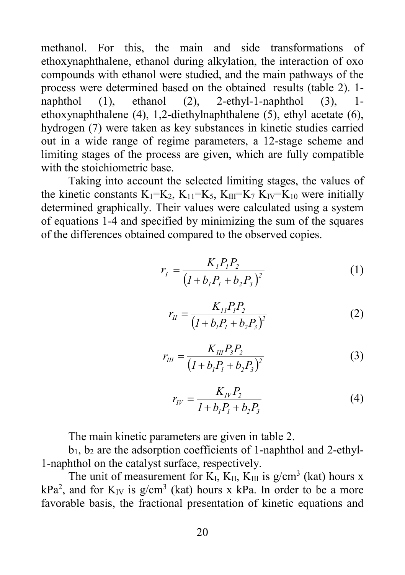methanol. For this, the main and side transformations of ethoxynaphthalene, ethanol during alkylation, the interaction of oxo compounds with ethanol were studied, and the main pathways of the process were determined based on the obtained results (table 2). 1 naphthol (1), ethanol (2), 2-ethyl-1-naphthol (3), 1 ethoxynaphthalene (4), 1,2-diethylnaphthalene (5), ethyl acetate (6), hydrogen (7) were taken as key substances in kinetic studies carried out in a wide range of regime parameters, a 12-stage scheme and limiting stages of the process are given, which are fully compatible with the stoichiometric base.

Taking into account the selected limiting stages, the values of the kinetic constants  $K_1=K_2$ ,  $K_{11}=K_5$ ,  $K_{III}=K_7$ ,  $K_{IV}=K_{10}$  were initially determined graphically. Their values were calculated using a system of equations 1-4 and specified by minimizing the sum of the squares of the differences obtained compared to the observed copies.

$$
r_{I} = \frac{K_{I}P_{I}P_{2}}{(I + b_{I}P_{I} + b_{2}P_{3})^{2}}
$$
 (1)

$$
r_{II} = \frac{K_{II} P_I P_2}{\left(I + b_I P_I + b_2 P_3\right)^2} \tag{2}
$$

$$
r_{III} = \frac{K_{III} P_3 P_2}{\left(I + b_1 P_1 + b_2 P_3\right)^2} \tag{3}
$$

$$
r_{IV} = \frac{K_{IV}P_2}{1 + b_1P_1 + b_2P_3}
$$
 (4)

The main kinetic parameters are given in table 2.

 $b_1$ ,  $b_2$  are the adsorption coefficients of 1-naphthol and 2-ethyl-1-naphthol on the catalyst surface, respectively.

The unit of measurement for  $K_I$ ,  $K_{II}$ ,  $K_{III}$  is  $g/cm^3$  (kat) hours x  $kPa<sup>2</sup>$ , and for  $K_{IV}$  is g/cm<sup>3</sup> (kat) hours x kPa. In order to be a more favorable basis, the fractional presentation of kinetic equations and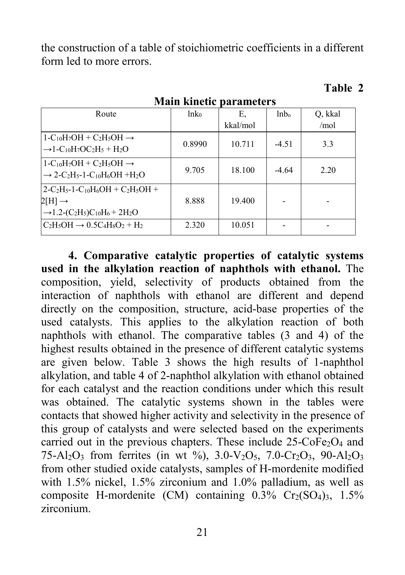the construction of a table of stoichiometric coefficients in a different form led to more errors.

#### Route  $ln k_0$   $E$ , kkal/mol lnbo Q, kkal /mol  $1-C_{10}H_7OH + C_2H_5OH \rightarrow$  $\rightarrow$ 1-C<sub>10</sub>H<sub>7</sub>OC<sub>2</sub>H<sub>5</sub> + H<sub>2</sub>O 0.8990 10.711 -4.51 3.3  $1-C_{10}H_7OH + C_2H_5OH \rightarrow$  $\rightarrow$  2-C<sub>2</sub>H<sub>5</sub>-1-C<sub>10</sub>H<sub>6</sub>OH +H<sub>2</sub>O 9.705 18.100 -4.64 2.20  $2-C_2H_{5}$ -1- $C_{10}H_{6}OH + C_2H_{5}OH +$  $2[H] \rightarrow$  $\rightarrow$ 1.2-(C<sub>2</sub>H<sub>5</sub>)C<sub>10</sub>H<sub>6</sub> + 2H<sub>2</sub>O 8.888 19.400  $\text{C}_2\text{H}_3\text{OH} \rightarrow 0.5\text{C}_4\text{H}_8\text{O}_2 + \text{H}_2$  | 2.320 | 10.051 | - | -

**Main kinetic parameters**

# **Table 2**

**4. Comparative catalytic properties of catalytic systems used in the alkylation reaction of naphthols with ethanol.** The composition, yield, selectivity of products obtained from the interaction of naphthols with ethanol are different and depend directly on the composition, structure, acid-base properties of the used catalysts. This applies to the alkylation reaction of both naphthols with ethanol. The comparative tables (3 and 4) of the highest results obtained in the presence of different catalytic systems are given below. Table 3 shows the high results of 1-naphthol alkylation, and table 4 of 2-naphthol alkylation with ethanol obtained for each catalyst and the reaction conditions under which this result was obtained. The catalytic systems shown in the tables were contacts that showed higher activity and selectivity in the presence of this group of catalysts and were selected based on the experiments carried out in the previous chapters. These include  $25$ -CoFe<sub>2</sub>O<sub>4</sub> and 75-Al<sub>2</sub>O<sub>3</sub> from ferrites (in wt %), 3.0-V<sub>2</sub>O<sub>5</sub>, 7.0-Cr<sub>2</sub>O<sub>3</sub>, 90-Al<sub>2</sub>O<sub>3</sub> from other studied oxide catalysts, samples of H-mordenite modified with 1.5% nickel, 1.5% zirconium and 1.0% palladium, as well as composite H-mordenite (CM) containing  $0.3\%$  Cr<sub>2</sub>(SO<sub>4</sub>)<sub>3</sub>, 1.5% zirconium.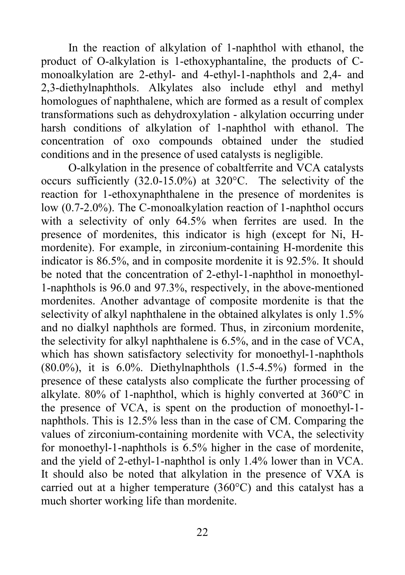In the reaction of alkylation of 1-naphthol with ethanol, the product of O-alkylation is 1-ethoxyphantaline, the products of Cmonoalkylation are 2-ethyl- and 4-ethyl-1-naphthols and 2,4- and 2,3-diethylnaphthols. Alkylates also include ethyl and methyl homologues of naphthalene, which are formed as a result of complex transformations such as dehydroxylation - alkylation occurring under harsh conditions of alkylation of 1-naphthol with ethanol. The concentration of oxo compounds obtained under the studied conditions and in the presence of used catalysts is negligible.

O-alkylation in the presence of cobaltferrite and VСA catalysts occurs sufficiently (32.0-15.0%) at 320°C. The selectivity of the reaction for 1-ethoxynaphthalene in the presence of mordenites is low (0.7-2.0%). The C-monoalkylation reaction of 1-naphthol occurs with a selectivity of only 64.5% when ferrites are used. In the presence of mordenites, this indicator is high (except for Ni, Hmordenite). For example, in zirconium-containing H-mordenite this indicator is 86.5%, and in composite mordenite it is 92.5%. It should be noted that the concentration of 2-ethyl-1-naphthol in monoethyl-1-naphthols is 96.0 and 97.3%, respectively, in the above-mentioned mordenites. Another advantage of composite mordenite is that the selectivity of alkyl naphthalene in the obtained alkylates is only 1.5% and no dialkyl naphthols are formed. Thus, in zirconium mordenite, the selectivity for alkyl naphthalene is 6.5%, and in the case of VCA, which has shown satisfactory selectivity for monoethyl-1-naphthols  $(80.0\%)$ , it is 6.0%. Diethylnaphthols  $(1.5-4.5\%)$  formed in the presence of these catalysts also complicate the further processing of alkylate. 80% of 1-naphthol, which is highly converted at 360°C in the presence of VCA, is spent on the production of monoethyl-1 naphthols. This is 12.5% less than in the case of CM. Comparing the values of zirconium-containing mordenite with VCA, the selectivity for monoethyl-1-naphthols is 6.5% higher in the case of mordenite, and the yield of 2-ethyl-1-naphthol is only 1.4% lower than in VCA. It should also be noted that alkylation in the presence of VXA is carried out at a higher temperature (360°C) and this catalyst has a much shorter working life than mordenite.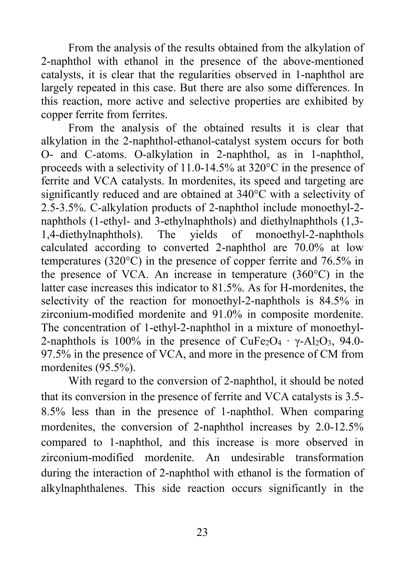From the analysis of the results obtained from the alkylation of 2-naphthol with ethanol in the presence of the above-mentioned catalysts, it is clear that the regularities observed in 1-naphthol are largely repeated in this case. But there are also some differences. In this reaction, more active and selective properties are exhibited by copper ferrite from ferrites.

From the analysis of the obtained results it is clear that alkylation in the 2-naphthol-ethanol-catalyst system occurs for both O- and C-atoms. O-alkylation in 2-naphthol, as in 1-naphthol, proceeds with a selectivity of 11.0-14.5% at 320°C in the presence of ferrite and VСA catalysts. In mordenites, its speed and targeting are significantly reduced and are obtained at 340°C with a selectivity of 2.5-3.5%. C-alkylation products of 2-naphthol include monoethyl-2 naphthols (1-ethyl- and 3-ethylnaphthols) and diethylnaphthols (1,3- 1,4-diethylnaphthols). The yields of monoethyl-2-naphthols calculated according to converted 2-naphthol are 70.0% at low temperatures (320°C) in the presence of copper ferrite and 76.5% in the presence of VCA. An increase in temperature (360°C) in the latter case increases this indicator to 81.5%. As for H-mordenites, the selectivity of the reaction for monoethyl-2-naphthols is 84.5% in zirconium-modified mordenite and 91.0% in composite mordenite. The concentration of 1-ethyl-2-naphthol in a mixture of monoethyl-2-naphthols is 100% in the presence of CuFe<sub>2</sub>O<sub>4</sub>  $\cdot$  γ-Al<sub>2</sub>O<sub>3</sub>, 94.0-97.5% in the presence of VCA, and more in the presence of CM from mordenites (95.5%).

With regard to the conversion of 2-naphthol, it should be noted that its conversion in the presence of ferrite and VCA catalysts is 3.5- 8.5% less than in the presence of 1-naphthol. When comparing mordenites, the conversion of 2-naphthol increases by 2.0-12.5% compared to 1-naphthol, and this increase is more observed in zirconium-modified mordenite. An undesirable transformation during the interaction of 2-naphthol with ethanol is the formation of alkylnaphthalenes. This side reaction occurs significantly in the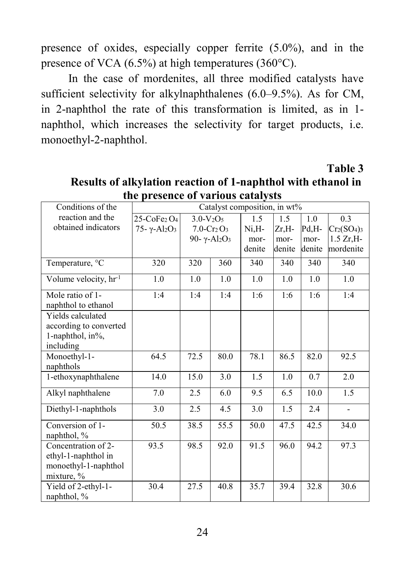presence of oxides, especially copper ferrite (5.0%), and in the presence of VCA (6.5%) at high temperatures (360°C).

In the case of mordenites, all three modified catalysts have sufficient selectivity for alkylnaphthalenes (6.0–9.5%). As for CM, in 2-naphthol the rate of this transformation is limited, as in 1 naphthol, which increases the selectivity for target products, i.e. monoethyl-2-naphthol.

 **Table 3**

| Conditions of the                 | Catalyst composition, in wt%            |               |                  |        |        |        |                |
|-----------------------------------|-----------------------------------------|---------------|------------------|--------|--------|--------|----------------|
| reaction and the                  | $25$ -CoFe <sub>2</sub> O <sub>4</sub>  | $3.0-V2O5$    |                  | 1.5    | 1.5    | 1.0    | 0.3            |
| obtained indicators               | 75 - γ - Al <sub>2</sub> O <sub>3</sub> | $7.0 - Cr2O3$ |                  | Ni.H-  | Zr,H-  | Pd,H-  | Cr2(SO4)3      |
|                                   |                                         |               | 90-γ- $Al_2O_3$  | mor-   | mor-   | mor-   | $1.5 Zr$ , H-  |
|                                   |                                         |               |                  | denite | denite | denite | mordenite      |
| Temperature, °C                   | 320                                     | 320           | 360              | 340    | 340    | 340    | 340            |
| Volume velocity, hr <sup>-1</sup> | 1.0                                     | 1.0           | 1.0              | 1.0    | 1.0    | 1.0    | 1.0            |
| Mole ratio of 1-                  | 1:4                                     | 1:4           | 1:4              | 1:6    | 1:6    | 1:6    | 1:4            |
| naphthol to ethanol               |                                         |               |                  |        |        |        |                |
| <b>Yields</b> calculated          |                                         |               |                  |        |        |        |                |
| according to converted            |                                         |               |                  |        |        |        |                |
| 1-naphthol, in%,                  |                                         |               |                  |        |        |        |                |
| including                         |                                         |               |                  |        |        |        |                |
| Monoethyl-1-                      | 64.5                                    | 72.5          | 80.0             | 78.1   | 86.5   | 82.0   | 92.5           |
| naphthols                         |                                         |               |                  |        |        |        |                |
| 1-ethoxynaphthalene               | 14.0                                    | 15.0          | $\overline{3.0}$ | 1.5    | 1.0    | 0.7    | 2.0            |
| Alkyl naphthalene                 | 7.0                                     | 2.5           | 6.0              | 9.5    | 6.5    | 10.0   | 1.5            |
| Diethyl-1-naphthols               | 3.0                                     | 2.5           | 4.5              | 3.0    | 1.5    | 2.4    | $\overline{a}$ |
| Conversion of 1-                  | 50.5                                    | 38.5          | 55.5             | 50.0   | 47.5   | 42.5   | 34.0           |
| naphthol, $\%$                    |                                         |               |                  |        |        |        |                |
| Concentration of $2$ -            | 93.5                                    | 98.5          | 92.0             | 91.5   | 96.0   | 94.2   | 97.3           |
| ethyl-1-naphthol in               |                                         |               |                  |        |        |        |                |
| monoethyl-1-naphthol              |                                         |               |                  |        |        |        |                |
| mixture, $%$                      |                                         |               |                  |        |        |        |                |
| Yield of 2-ethyl-1-               | 30.4                                    | 27.5          | 40.8             | 35.7   | 39.4   | 32.8   | 30.6           |
| naphthol, $\%$                    |                                         |               |                  |        |        |        |                |

**Results of alkylation reaction of 1-naphthol with ethanol in the presence of various catalysts**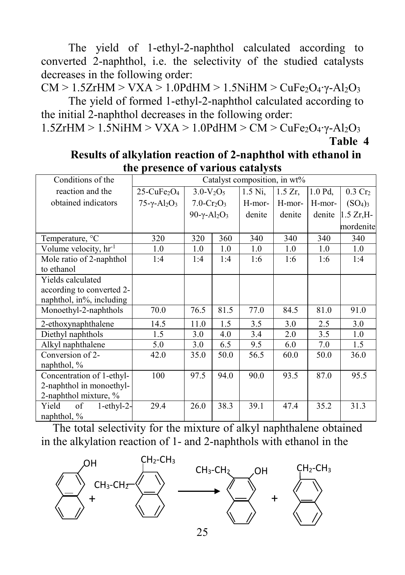The yield of 1-ethyl-2-naphthol calculated according to converted 2-naphthol, i.e. the selectivity of the studied catalysts decreases in the following order:

CM > 1.5ZrHM > VXA > 1.0PdHM > 1.5NiHM > CuFe<sub>2</sub>O<sub>4</sub> $\gamma$ -Al<sub>2</sub>O<sub>3</sub>

The yield of formed 1-ethyl-2-naphthol calculated according to the initial 2-naphthol decreases in the following order:

1.5ZrHM > 1.5NiHM > VXA > 1.0PdHM > CM > CuFe<sub>2</sub>O<sub>4</sub>·γ-Al<sub>2</sub>O<sub>3</sub>

# **Results of alkylation reaction of 2-naphthol with ethanol in the presence of various catalysts**

| Conditions of the               | Catalyst composition, in wt%           |                 |      |           |            |         |                    |
|---------------------------------|----------------------------------------|-----------------|------|-----------|------------|---------|--------------------|
| reaction and the                | $25$ -CuFe <sub>2</sub> O <sub>4</sub> | $3.0-V2O5$      |      | $1.5$ Ni, | $1.5 Zr$ , | 1.0 Pd. | $0.3 \text{ Cr}_2$ |
| obtained indicators             | $75 - \gamma - Al_2O_3$                | $7.0 - Cr2O3$   |      | H-mor-    | H-mor-     | H-mor-  | $(SO_4)_3$         |
|                                 |                                        | 90-γ- $Al_2O_3$ |      | denite    | denite     | denite  | $1.5 Zr, H-$       |
|                                 |                                        |                 |      |           |            |         | mordenite          |
| Temperature, <sup>o</sup> C     | 320                                    | 320             | 360  | 340       | 340        | 340     | 340                |
| Volume velocity, $hr^{-1}$      | 1.0                                    | 1.0             | 1.0  | 1.0       | 1.0        | 1.0     | 1.0                |
| Mole ratio of 2-naphthol        | 1:4                                    | 1:4             | 1:4  | 1:6       | 1:6        | 1:6     | 1:4                |
| to ethanol                      |                                        |                 |      |           |            |         |                    |
| Yields calculated               |                                        |                 |      |           |            |         |                    |
| according to converted 2-       |                                        |                 |      |           |            |         |                    |
| naphthol, in%, including        |                                        |                 |      |           |            |         |                    |
| Monoethyl-2-naphthols           | 70.0                                   | 76.5            | 81.5 | 77.0      | 84.5       | 81.0    | 91.0               |
| 2-ethoxynaphthalene             | 14.5                                   | 11.0            | 1.5  | 3.5       | 3.0        | 2.5     | 3.0                |
| Diethyl naphthols               | 1.5                                    | 3.0             | 4.0  | 3.4       | 2.0        | 3.5     | 1.0                |
| Alkyl naphthalene               | 5.0                                    | 3.0             | 6.5  | 9.5       | 6.0        | 7.0     | 1.5                |
| Conversion of 2-                | 42.0                                   | 35.0            | 50.0 | 56.5      | 60.0       | 50.0    | 36.0               |
| naphthol, $\%$                  |                                        |                 |      |           |            |         |                    |
| Concentration of 1-ethyl-       | 100                                    | 97.5            | 94.0 | 90.0      | 93.5       | 87.0    | 95.5               |
| 2-naphthol in monoethyl-        |                                        |                 |      |           |            |         |                    |
| 2-naphthol mixture, %           |                                        |                 |      |           |            |         |                    |
| Yield<br>of<br>$1$ -ethy $1-2-$ | 29.4                                   | 26.0            | 38.3 | 39.1      | 47.4       | 35.2    | 31.3               |
| naphthol, $\%$                  |                                        |                 |      |           |            |         |                    |

 The total selectivity for the mixture of alkyl naphthalene obtained in the alkylation reaction of 1- and 2-naphthols with ethanol in the



**Table 4**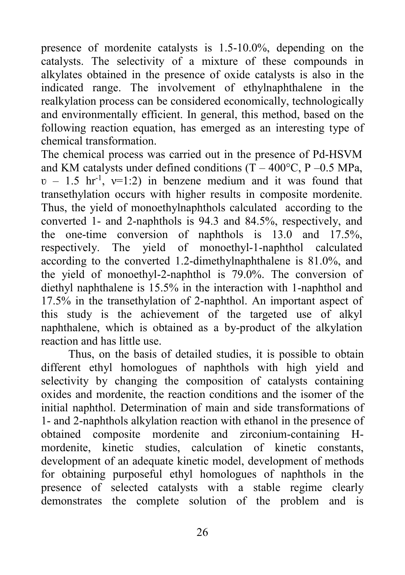presence of mordenite catalysts is 1.5-10.0%, depending on the catalysts. The selectivity of a mixture of these compounds in alkylates obtained in the presence of oxide catalysts is also in the indicated range. The involvement of ethylnaphthalene in the realkylation process can be considered economically, technologically and environmentally efficient. In general, this method, based on the following reaction equation, has emerged as an interesting type of chemical transformation.

The chemical process was carried out in the presence of Pd-HSVM and KM catalysts under defined conditions  $(T - 400^{\circ}C, P - 0.5)$  MPa,  $v - 1.5$  hr<sup>-1</sup>,  $v=1:2$ ) in benzene medium and it was found that transethylation occurs with higher results in composite mordenite. Thus, the yield of monoethylnaphthols calculated according to the converted 1- and 2-naphthols is 94.3 and 84.5%, respectively, and the one-time conversion of naphthols is 13.0 and 17.5%, respectively. The yield of monoethyl-1-naphthol calculated according to the converted 1.2-dimethylnaphthalene is 81.0%, and the yield of monoethyl-2-naphthol is 79.0%. The conversion of diethyl naphthalene is 15.5% in the interaction with 1-naphthol and 17.5% in the transethylation of 2-naphthol. An important aspect of this study is the achievement of the targeted use of alkyl naphthalene, which is obtained as a by-product of the alkylation reaction and has little use.

Thus, on the basis of detailed studies, it is possible to obtain different ethyl homologues of naphthols with high yield and selectivity by changing the composition of catalysts containing oxides and mordenite, the reaction conditions and the isomer of the initial naphthol. Determination of main and side transformations of 1- and 2-naphthols alkylation reaction with ethanol in the presence of obtained composite mordenite and zirconium-containing Hmordenite, kinetic studies, calculation of kinetic constants, development of an adequate kinetic model, development of methods for obtaining purposeful ethyl homologues of naphthols in the presence of selected catalysts with a stable regime clearly demonstrates the complete solution of the problem and is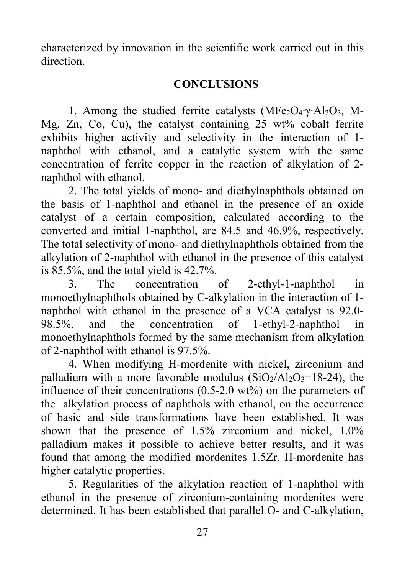characterized by innovation in the scientific work carried out in this direction.

## **CONCLUSIONS**

1. Among the studied ferrite catalysts (MFe<sub>2</sub>O<sub>4</sub>⋅γ⋅Al<sub>2</sub>O<sub>3</sub>, M-Mg, Zn, Co, Cu), the catalyst containing 25 wt% cobalt ferrite exhibits higher activity and selectivity in the interaction of 1 naphthol with ethanol, and a catalytic system with the same concentration of ferrite copper in the reaction of alkylation of 2 naphthol with ethanol.

2. The total yields of mono- and diethylnaphthols obtained on the basis of 1-naphthol and ethanol in the presence of an oxide catalyst of a certain composition, calculated according to the converted and initial 1-naphthol, are 84.5 and 46.9%, respectively. The total selectivity of mono- and diethylnaphthols obtained from the alkylation of 2-naphthol with ethanol in the presence of this catalyst is 85.5%, and the total yield is 42.7%.

3. The concentration of 2-ethyl-1-naphthol in monoethylnaphthols obtained by C-alkylation in the interaction of 1 naphthol with ethanol in the presence of a VCA catalyst is 92.0- 98.5%, and the concentration of 1-ethyl-2-naphthol in monoethylnaphthols formed by the same mechanism from alkylation of 2-naphthol with ethanol is 97.5%.

4. When modifying H-mordenite with nickel, zirconium and palladium with a more favorable modulus  $(SiO<sub>2</sub>/A<sub>12</sub>O<sub>3</sub>=18-24)$ , the influence of their concentrations (0.5-2.0 wt%) on the parameters of the alkylation process of naphthols with ethanol, on the occurrence of basic and side transformations have been established. It was shown that the presence of 1.5% zirconium and nickel, 1.0% palladium makes it possible to achieve better results, and it was found that among the modified mordenites 1.5Zr, H-mordenite has higher catalytic properties.

5. Regularities of the alkylation reaction of 1-naphthol with ethanol in the presence of zirconium-containing mordenites were determined. It has been established that parallel О- and С-alkylation,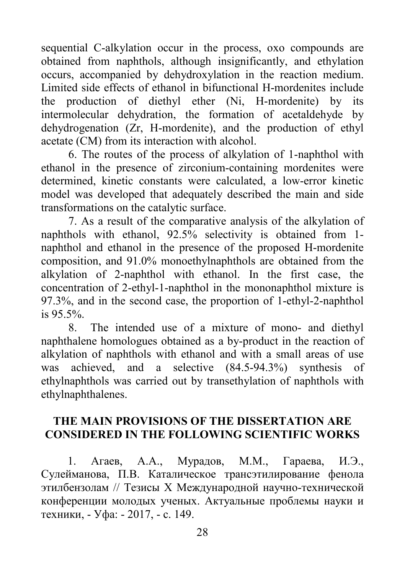sequential С-alkylation occur in the process, oxo compounds are obtained from naphthols, although insignificantly, and ethylation occurs, accompanied by dehydroxylation in the reaction medium. Limited side effects of ethanol in bifunctional H-mordenites include the production of diethyl ether (Ni, H-mordenite) by its intermolecular dehydration, the formation of acetaldehyde by dehydrogenation (Zr, H-mordenite), and the production of ethyl acetate (CM) from its interaction with alcohol.

6. The routes of the process of alkylation of 1-naphthol with ethanol in the presence of zirconium-containing mordenites were determined, kinetic constants were calculated, a low-error kinetic model was developed that adequately described the main and side transformations on the catalytic surface.

7. As a result of the comparative analysis of the alkylation of naphthols with ethanol, 92.5% selectivity is obtained from 1 naphthol and ethanol in the presence of the proposed H-mordenite composition, and 91.0% monoethylnaphthols are obtained from the alkylation of 2-naphthol with ethanol. In the first case, the concentration of 2-ethyl-1-naphthol in the mononaphthol mixture is 97.3%, and in the second case, the proportion of 1-ethyl-2-naphthol is 95.5%.

8. The intended use of a mixture of mono- and diethyl naphthalene homologues obtained as a by-product in the reaction of alkylation of naphthols with ethanol and with a small areas of use was achieved, and a selective (84.5-94.3%) synthesis of ethylnaphthols was carried out by transethylation of naphthols with ethylnaphthalenes.

### **THE MAIN PROVISIONS OF THE DISSERTATION ARE CONSIDERED IN THE FOLLOWING SCIENTIFIC WORKS**

1. Агаев, А.А., Мурадов, М.М., Гараева, И.Э., Сулейманова, П.В. Каталическое трансэтилирование фенола этилбензолам // Тезисы Х Международной научно-технической конференции молодых ученых. Актуальные проблемы науки и техники, - Уфа: - 2017, - с. 149.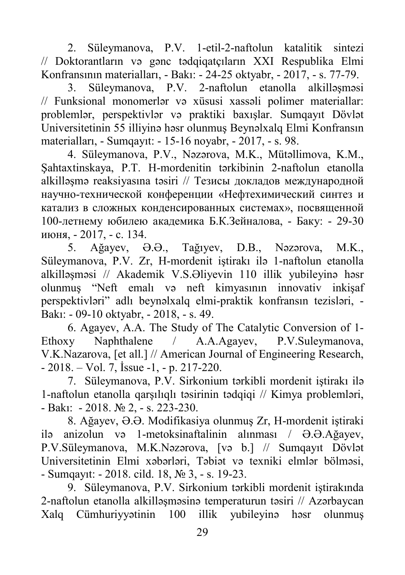2. Süleymanova, P.V. 1-etil-2-naftolun katalitik sintezi // Doktorantların və gənc tədqiqatçıların XXI Respublika Elmi Konfransının materialları, - Bakı: - 24-25 oktyabr, - 2017, - s. 77-79.

3. Süleymanova, P.V. 2-naftolun etanolla alkilləşməsi // Funksional monomerlər və xüsusi xassəli polimer materiallar: problemlər, perspektivlər və praktiki baxışlar. Sumqayıt Dövlət Universitetinin 55 illiyinə həsr olunmuş Beynəlxalq Elmi Konfransın materialları, - Sumqayıt: - 15-16 noyabr, - 2017, - s. 98.

4. Süleymanova, P.V., Nəzərova, M.K., Mütəllimova, K.M., Şahtaxtinskaya, P.T. H-mordenitin tərkibinin 2-naftolun etanolla alkilləşmə reaksiyasına təsiri // Тезисы докладов международной научно-технической конференции «Нефтехимический синтез и катализ в сложных конденсированных системах», посвященной 100-летнему юбилею академика Б.К.Зейналова, - Баку: - 29-30 июня, - 2017, - с. 134.

5. Ağayev, Ə.Ə., Tağıyev, D.B., Nəzərova, M.K., Süleymanova, P.V. Zr, H-mordenit iştirakı ilə 1-naftolun etanolla alkilləşməsi // Akademik V.S.Əliyevin 110 illik yubileyinə həsr olunmuş "Neft emalı və neft kimyasının innovativ inkişaf perspektivləri" adlı beynəlxalq elmi-praktik konfransın tezisləri, - Bakı: - 09-10 oktyabr, - 2018, - s. 49.

6. Agayev, A.A. The Study of The Catalytic Conversion of 1- Ethoxy Naphthalene / A.A.Agayev, P.V.Suleymanova, V.K.Nazarova, [et all.] // American Journal of Engineering Research, - 2018. – Vol. 7, İssue -1, - p. 217-220.

7. Süleymanova, P.V. Sirkonium tərkibli mordenit iştirakı ilə 1-naftolun etanolla qarşılıqlı təsirinin tədqiqi // Kimya problemləri, - Bakı: - 2018. № 2, - s. 223-230.

8. Ağayev, Ə.Ə. Modifikasiya olunmuş Zr, H-mordenit iştiraki ilə anizolun və 1-metoksinaftalinin alınması / Ə.Ə.Ağayev, P.V.Süleymanova, M.K.Nəzərova, [və b.] // Sumqayıt Dövlət Universitetinin Elmi xəbərləri, Təbiət və texniki elmlər bölməsi, - Sumqayıt: - 2018. cild. 18, № 3, - s. 19-23.

9. Süleymanova, P.V. Sirkonium tərkibli mordenit iştirakında 2-naftolun etanolla alkilləşməsinə temperaturun təsiri // Azərbaycan Xalq Cümhuriyyətinin 100 illik yubileyinə həsr olunmuş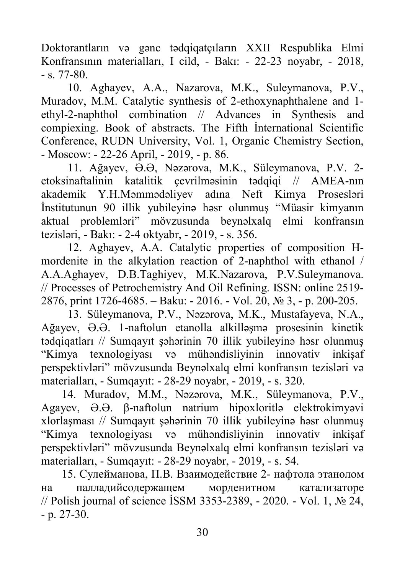Doktorantların və gənc tədqiqatçıların XXII Respublika Elmi Konfransının materialları, I cild, - Bakı: - 22-23 noyabr, - 2018,  $-$  s. 77-80.

10. Aghayev, A.A., Nazarova, M.K., Suleymanova, P.V., Muradov, M.M. Catalytic synthesis of 2-ethoxynaphthalene and 1 ethyl-2-naphthol combination // Advances in Synthesis and compiexing. Book of abstracts. The Fifth İnternational Scientific Conference, RUDN University, Vol. 1, Organic Chemistry Section, - Moscow: - 22-26 April, - 2019, - p. 86.

11. Ağayev, Ə.Ə, Nəzərova, M.K., Süleymanova, P.V. 2 etoksinaftalinin katalitik çevrilməsinin tədqiqi // AMEA-nın akademik Y.H.Məmmədəliyev adına Neft Kimya Prosesləri İnstitutunun 90 illik yubileyinə həsr olunmuş "Müasir kimyanın aktual problemləri" mövzusunda beynəlxalq elmi konfransın tezisləri, - Bakı: - 2-4 oktyabr, - 2019, - s. 356.

12. Aghayev, A.A. Catalytic properties of composition Hmordenite in the alkylation reaction of 2-naphthol with ethanol / A.A.Aghayev, D.B.Taghiyev, M.K.Nazarova, P.V.Suleymanova. // Processes of Petrochemistry And Oil Refining. ISSN: online 2519- 2876, print 1726-4685. – Baku: - 2016. - Vol. 20, № 3, - p. 200-205.

13. Süleymanova, P.V., Nəzərova, M.K., Mustafayeva, N.A., Ağayev, Ə.Ə. 1-naftolun etanolla alkilləşmə prosesinin kinetik tədqiqatları // Sumqayıt şəhərinin 70 illik yubileyinə həsr olunmuş "Kimya texnologiyası və mühəndisliyinin innovativ inkişaf perspektivləri" mövzusunda Beynəlxalq elmi konfransın tezisləri və materialları, - Sumqayıt: - 28-29 noyabr, - 2019, - s. 320.

14. Muradov, M.M., Nəzərova, M.K., Süleymanova, P.V., Agayev, Ə.Ə. β-naftolun natrium hipoxloritlə elektrokimyəvi xlorlaşması // Sumqayıt şəhərinin 70 illik yubileyinə həsr olunmuş "Kimya texnologiyası və mühəndisliyinin innovativ inkişaf perspektivləri" mövzusunda Beynəlxalq elmi konfransın tezisləri və materialları, - Sumqayıt: - 28-29 noyabr, - 2019, - s. 54.

15. Сулейманова, П.В. Взаимодействие 2- нафтола этанолом на палладийсодержащем морденитном катализаторе // Polish journal of science İSSM 3353-2389, - 2020. - Vol. 1, № 24,  $- p. 27 - 30.$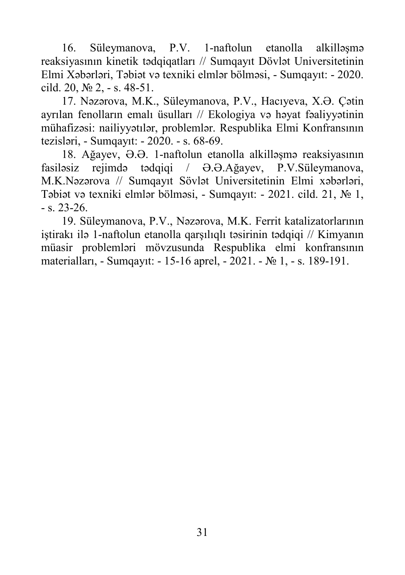16. Süleymanova, P.V. 1-naftolun etanolla alkilləşmə reaksiyasının kinetik tədqiqatları // Sumqayıt Dövlət Universitetinin Elmi Xəbərləri, Təbiət və texniki elmlər bölməsi, - Sumqayıt: - 2020. cild. 20, № 2, - s. 48-51.

17. Nəzərova, M.K., Süleymanova, P.V., Hacıyeva, X.Ə. Çətin ayrılan fenolların emalı üsulları // Ekologiya və həyat fəaliyyətinin mühafizəsi: nailiyyətılər, problemlər. Respublika Elmi Konfransının tezisləri, - Sumqayıt: - 2020. - s. 68-69.

18. Ağayev, Ə.Ə. 1-naftolun etanolla alkilləşmə reaksiyasının fasiləsiz rejimdə tədqiqi / Ə.Ə.Ağayev, P.V.Süleymanova, M.K.Nəzərova // Sumqayıt Sövlət Universitetinin Elmi xəbərləri, Təbiət və texniki elmlər bölməsi, - Sumqayıt: - 2021. cild. 21, № 1,  $-$  s. 23-26.

19. Süleymanova, P.V., Nəzərova, M.K. Ferrit katalizatorlarının iştirakı ilə 1-naftolun etanolla qarşılıqlı təsirinin tədqiqi // Kimyanın müasir problemləri mövzusunda Respublika elmi konfransının materialları, - Sumqayıt: - 15-16 aprel, - 2021. - № 1, - s. 189-191.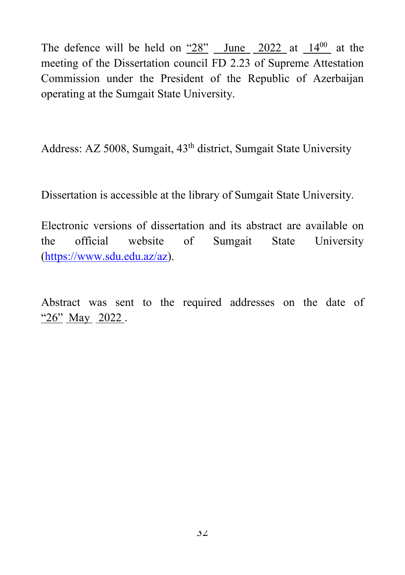The defence will be held on  $\frac{48^{\circ}}{28}$  June  $\frac{2022}{20}$  at  $\frac{14^{00}}{20}$  at the meeting of the Dissertation council FD 2.23 of Supreme Attestation Commission under the President of the Republic of Azerbaijan operating at the Sumgait State University.

Address: AZ 5008, Sumgait, 43<sup>th</sup> district, Sumgait State University

Dissertation is accessible at the library of Sumgait State University.

Electronic versions of dissertation and its abstract are available on the official website of Sumgait State University [\(https://www.sdu.edu.az/az\)](https://www.sdu.edu.az/az).

Abstract was sent to the required addresses on the date of "26" May 2022.